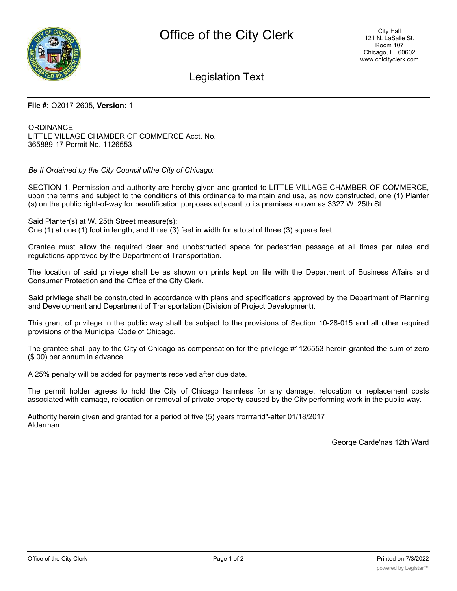

### Legislation Text

#### **File #:** O2017-2605, **Version:** 1

**ORDINANCE** LITTLE VILLAGE CHAMBER OF COMMERCE Acct. No. 365889-17 Permit No. 1126553

*Be It Ordained by the City Council ofthe City of Chicago:*

SECTION 1. Permission and authority are hereby given and granted to LITTLE VILLAGE CHAMBER OF COMMERCE, upon the terms and subject to the conditions of this ordinance to maintain and use, as now constructed, one (1) Planter (s) on the public right-of-way for beautification purposes adjacent to its premises known as 3327 W. 25th St..

Said Planter(s) at W. 25th Street measure(s): One (1) at one (1) foot in length, and three (3) feet in width for a total of three (3) square feet.

Grantee must allow the required clear and unobstructed space for pedestrian passage at all times per rules and regulations approved by the Department of Transportation.

The location of said privilege shall be as shown on prints kept on file with the Department of Business Affairs and Consumer Protection and the Office of the City Clerk.

Said privilege shall be constructed in accordance with plans and specifications approved by the Department of Planning and Development and Department of Transportation (Division of Project Development).

This grant of privilege in the public way shall be subject to the provisions of Section 10-28-015 and all other required provisions of the Municipal Code of Chicago.

The grantee shall pay to the City of Chicago as compensation for the privilege #1126553 herein granted the sum of zero (\$.00) per annum in advance.

A 25% penalty will be added for payments received after due date.

The permit holder agrees to hold the City of Chicago harmless for any damage, relocation or replacement costs associated with damage, relocation or removal of private property caused by the City performing work in the public way.

Authority herein given and granted for a period of five (5) years frorrrarid"-after 01/18/2017 Alderman

George Carde'nas 12th Ward